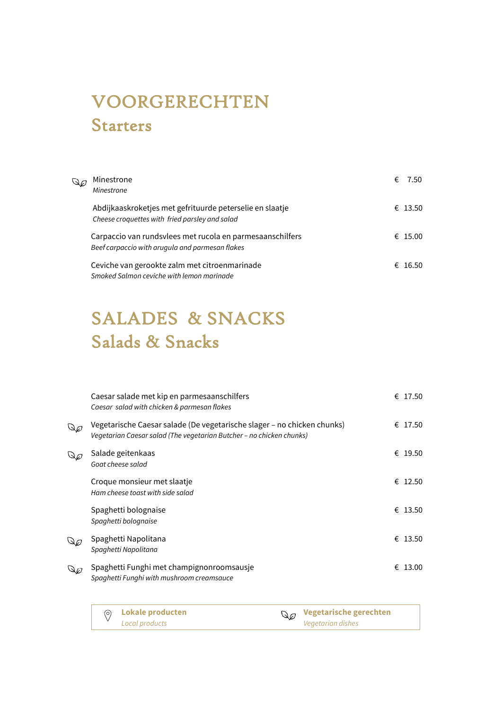# VOORGERECHTEN Starters

| Q6 | Minestrone<br>Minestrone                                                                                     | € | -7.50   |
|----|--------------------------------------------------------------------------------------------------------------|---|---------|
|    | Abdijkaaskroketjes met gefrituurde peterselie en slaatje<br>Cheese croquettes with fried parsley and salad   |   | € 13.50 |
|    | Carpaccio van rundsvlees met rucola en parmesaanschilfers<br>Beef carpaccio with arugula and parmesan flakes |   | € 15.00 |
|    | Ceviche van gerookte zalm met citroenmarinade<br>Smoked Salmon ceviche with lemon marinade                   |   | € 16.50 |

## SALADES & SNACKS Salads & Snacks

| Caesar salade met kip en parmesaanschilfers<br>Caesar salad with chicken & parmesan flakes                                                      | € 17.50    |
|-------------------------------------------------------------------------------------------------------------------------------------------------|------------|
| Vegetarische Caesar salade (De vegetarische slager – no chicken chunks)<br>Vegetarian Caesar salad (The vegetarian Butcher – no chicken chunks) | € 17.50    |
| Salade geitenkaas<br>Goat cheese salad                                                                                                          | € 19.50    |
| Croque monsieur met slaatje<br>Ham cheese toast with side salad                                                                                 | € 12.50    |
| Spaghetti bolognaise<br>Spaghetti bolognaise                                                                                                    | € 13.50    |
| Spaghetti Napolitana<br>Spaghetti Napolitana                                                                                                    | € 13.50    |
| Spaghetti Funghi met champignonroomsausje<br>۵Ø<br>Spaghetti Funghi with mushroom creamsauce                                                    | €<br>13.00 |

| ◎ Lokale producten | $\mathbb{Q}_{\mathscr{O}}$ Vegetarische gerechten |
|--------------------|---------------------------------------------------|
| Local products     | Vegetarian dishes                                 |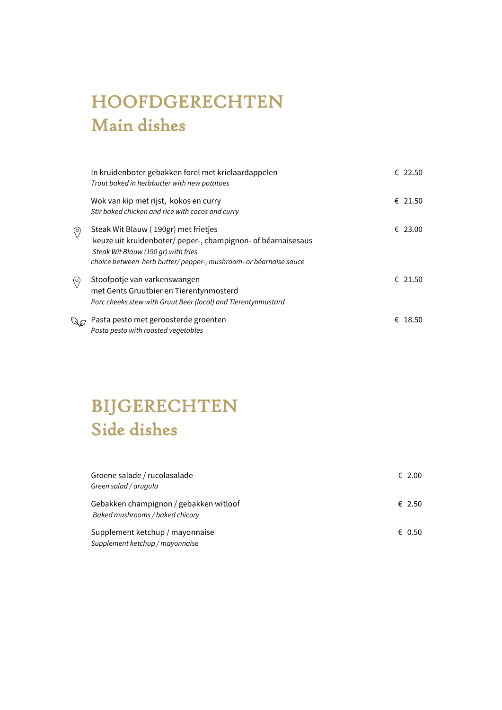## HOOFDGERECHTEN Main dishes

|     | In kruidenboter gebakken forel met krielaardappelen<br>Trout baked in herbbutter with new potatoes                                                                                                              | € 22.50 |
|-----|-----------------------------------------------------------------------------------------------------------------------------------------------------------------------------------------------------------------|---------|
|     | Wok van kip met rijst, kokos en curry<br>Stir baked chicken and rice with cocos and curry                                                                                                                       | € 21.50 |
| O)  | Steak Wit Blauw (190gr) met frietjes<br>keuze uit kruidenboter/ peper-, champignon- of béarnaisesaus<br>Steak Wit Blauw (190 gr) with fries<br>choice between herb butter/pepper-, mushroom- or béarnaise sauce | € 23.00 |
| (O) | Stoofpotje van varkenswangen<br>met Gents Gruutbier en Tierentynmosterd<br>Porc cheeks stew with Gruut Beer (local) and Tierentynmustard                                                                        | € 21.50 |
|     | Pasta pesto met geroosterde groenten<br>Pasta pesto with roasted vegetables                                                                                                                                     | € 18.50 |

## BIJGERECHTEN Side dishes

| Groene salade / rucolasalade<br>Green salad / arugula                     | $\epsilon$ 2.00 |
|---------------------------------------------------------------------------|-----------------|
| Gebakken champignon / gebakken witloof<br>Baked mushrooms / baked chicory | € 2.50          |
| Supplement ketchup / mayonnaise<br>Supplement ketchup / mayonnaise        | € 0.50          |